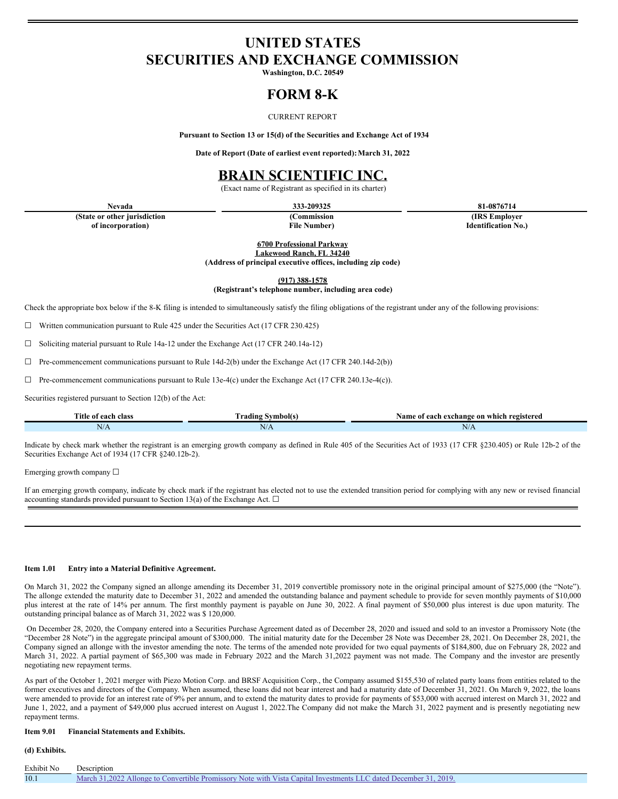# **UNITED STATES SECURITIES AND EXCHANGE COMMISSION**

**Washington, D.C. 20549**

# **FORM 8-K**

#### CURRENT REPORT

**Pursuant to Section 13 or 15(d) of the Securities and Exchange Act of 1934**

**Date of Report (Date of earliest event reported):March 31, 2022**

## **BRAIN SCIENTIFIC INC.**

(Exact name of Registrant as specified in its charter)

**(State or other jurisdiction of incorporation)**

**(Commission**

**File Number)**

**Nevada 333-209325 81-0876714**

**(IRS Employer Identification No.)**

**6700 Professional Parkway**

**Lakewood Ranch, FL 34240 (Address of principal executive offices, including zip code)**

**(917) 388-1578**

**(Registrant's telephone number, including area code)**

Check the appropriate box below if the 8-K filing is intended to simultaneously satisfy the filing obligations of the registrant under any of the following provisions:

☐ Written communication pursuant to Rule 425 under the Securities Act (17 CFR 230.425)

☐ Soliciting material pursuant to Rule 14a-12 under the Exchange Act (17 CFR 240.14a-12)

 $\Box$  Pre-commencement communications pursuant to Rule 14d-2(b) under the Exchange Act (17 CFR 240.14d-2(b))

 $\Box$  Pre-commencement communications pursuant to Rule 13e-4(c) under the Exchange Act (17 CFR 240.13e-4(c)).

Securities registered pursuant to Section 12(b) of the Act:

| Title of each class | --<br>rading<br>symbol(s | Name of<br>i exchange on which registered<br>each |
|---------------------|--------------------------|---------------------------------------------------|
| N/A                 | N/A                      | N/A                                               |

Indicate by check mark whether the registrant is an emerging growth company as defined in Rule 405 of the Securities Act of 1933 (17 CFR §230.405) or Rule 12b-2 of the Securities Exchange Act of 1934 (17 CFR §240.12b-2).

Emerging growth company ☐

If an emerging growth company, indicate by check mark if the registrant has elected not to use the extended transition period for complying with any new or revised financial accounting standards provided pursuant to Section 13(a) of the Exchange Act.  $\Box$ 

#### **Item 1.01 Entry into a Material Definitive Agreement.**

On March 31, 2022 the Company signed an allonge amending its December 31, 2019 convertible promissory note in the original principal amount of \$275,000 (the "Note"). The allonge extended the maturity date to December 31, 2022 and amended the outstanding balance and payment schedule to provide for seven monthly payments of \$10,000 plus interest at the rate of 14% per annum. The first monthly payment is payable on June 30, 2022. A final payment of \$50,000 plus interest is due upon maturity. The outstanding principal balance as of March 31, 2022 was \$ 120,000.

On December 28, 2020, the Company entered into a Securities Purchase Agreement dated as of December 28, 2020 and issued and sold to an investor a Promissory Note (the "December 28 Note") in the aggregate principal amount of \$300,000. The initial maturity date for the December 28 Note was December 28, 2021. On December 28, 2021, the Company signed an allonge with the investor amending the note. The terms of the amended note provided for two equal payments of \$184,800, due on February 28, 2022 and March 31, 2022. A partial payment of \$65,300 was made in February 2022 and the March 31,2022 payment was not made. The Company and the investor are presently negotiating new repayment terms.

As part of the October 1, 2021 merger with Piezo Motion Corp. and BRSF Acquisition Corp., the Company assumed \$155,530 of related party loans from entities related to the former executives and directors of the Company. When assumed, these loans did not bear interest and had a maturity date of December 31, 2021. On March 9, 2022, the loans were amended to provide for an interest rate of 9% per annum, and to extend the maturity dates to provide for payments of \$53,000 with accrued interest on March 31, 2022 and June 1, 2022, and a payment of \$49,000 plus accrued interest on August 1, 2022. The Company did not make the March 31, 2022 payment and is presently negotiating new repayment terms.

#### **Item 9.01 Financial Statements and Exhibits.**

### **(d) Exhibits.**

| Exhibit No | Description                                                                                                      |
|------------|------------------------------------------------------------------------------------------------------------------|
| 10.1       | March 31.2022 Allonge to Convertible Promissory Note with Vista Capital Investments LLC dated December 31, 2019. |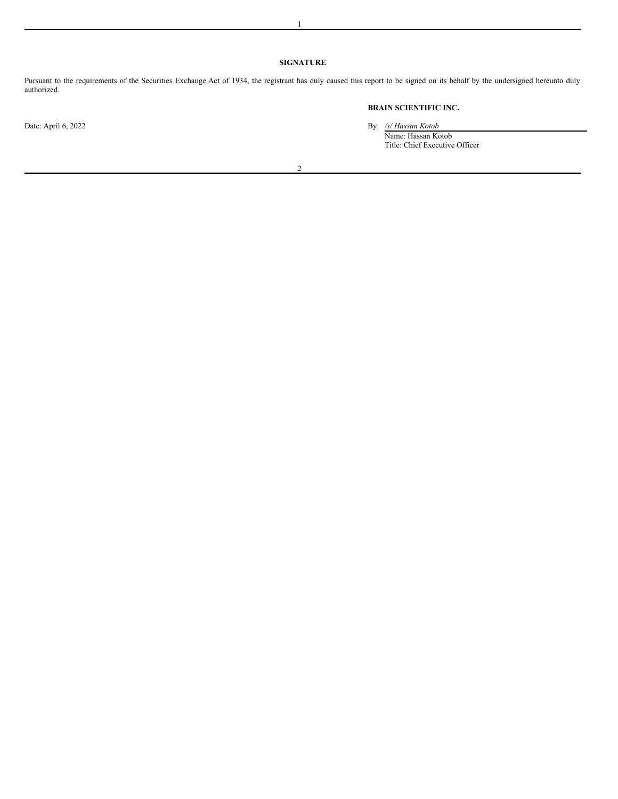### **SIGNATURE**

Pursuant to the requirements of the Securities Exchange Act of 1934, the registrant has duly caused this report to be signed on its behalf by the undersigned hereunto duly authorized.

**BRAIN SCIENTIFIC INC.**

Date: April 6, 2022 By: */s/ Hassan Kotob*

Name: Hassan Kotob Title: Chief Executive Officer

2

1